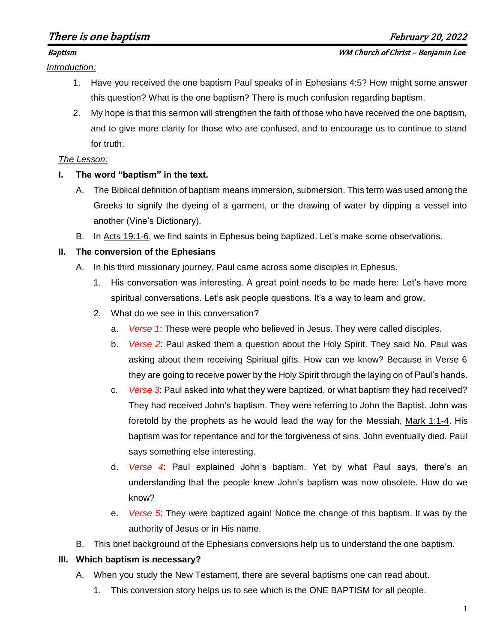# There is one baptism  $\blacksquare$

*Introduction:*

- 1. Have you received the one baptism Paul speaks of in Ephesians 4:5? How might some answer this question? What is the one baptism? There is much confusion regarding baptism.
- 2. My hope is that this sermon will strengthen the faith of those who have received the one baptism, and to give more clarity for those who are confused, and to encourage us to continue to stand for truth.

#### *The Lesson:*

# **I. The word "baptism" in the text.**

- A. The Biblical definition of baptism means immersion, submersion. This term was used among the Greeks to signify the dyeing of a garment, or the drawing of water by dipping a vessel into another (Vine's Dictionary).
- B. In Acts 19:1-6, we find saints in Ephesus being baptized. Let's make some observations.

# **II. The conversion of the Ephesians**

- A. In his third missionary journey, Paul came across some disciples in Ephesus.
	- 1. His conversation was interesting. A great point needs to be made here: Let's have more spiritual conversations. Let's ask people questions. It's a way to learn and grow.
	- 2. What do we see in this conversation?
		- a. *Verse 1*: These were people who believed in Jesus. They were called disciples.
		- b. *Verse 2*: Paul asked them a question about the Holy Spirit. They said No. Paul was asking about them receiving Spiritual gifts. How can we know? Because in Verse 6 they are going to receive power by the Holy Spirit through the laying on of Paul's hands.
		- c. *Verse 3*: Paul asked into what they were baptized, or what baptism they had received? They had received John's baptism. They were referring to John the Baptist. John was foretold by the prophets as he would lead the way for the Messiah, Mark 1:1-4. His baptism was for repentance and for the forgiveness of sins. John eventually died. Paul says something else interesting.
		- d. *Verse 4*: Paul explained John's baptism. Yet by what Paul says, there's an understanding that the people knew John's baptism was now obsolete. How do we know?
		- e. *Verse 5*: They were baptized again! Notice the change of this baptism. It was by the authority of Jesus or in His name.
- B. This brief background of the Ephesians conversions help us to understand the one baptism.

# **III. Which baptism is necessary?**

- A. When you study the New Testament, there are several baptisms one can read about.
	- 1. This conversion story helps us to see which is the ONE BAPTISM for all people.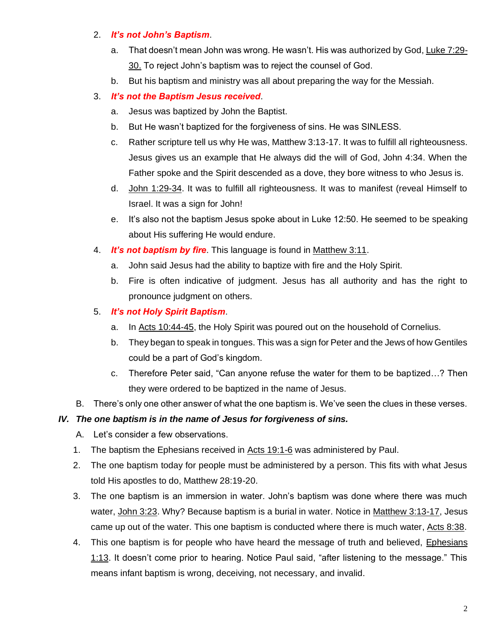#### 2. *It's not John's Baptism*.

- a. That doesn't mean John was wrong. He wasn't. His was authorized by God, Luke 7:29- 30. To reject John's baptism was to reject the counsel of God.
- b. But his baptism and ministry was all about preparing the way for the Messiah.

#### 3. *It's not the Baptism Jesus received*.

- a. Jesus was baptized by John the Baptist.
- b. But He wasn't baptized for the forgiveness of sins. He was SINLESS.
- c. Rather scripture tell us why He was, Matthew 3:13-17. It was to fulfill all righteousness. Jesus gives us an example that He always did the will of God, John 4:34. When the Father spoke and the Spirit descended as a dove, they bore witness to who Jesus is.
- d. John 1:29-34. It was to fulfill all righteousness. It was to manifest (reveal Himself to Israel. It was a sign for John!
- e. It's also not the baptism Jesus spoke about in Luke 12:50. He seemed to be speaking about His suffering He would endure.
- 4. *It's not baptism by fire*. This language is found in Matthew 3:11.
	- a. John said Jesus had the ability to baptize with fire and the Holy Spirit.
	- b. Fire is often indicative of judgment. Jesus has all authority and has the right to pronounce judgment on others.

#### 5. *It's not Holy Spirit Baptism*.

- a. In Acts 10:44-45, the Holy Spirit was poured out on the household of Cornelius.
- b. They began to speak in tongues. This was a sign for Peter and the Jews of how Gentiles could be a part of God's kingdom.
- c. Therefore Peter said, "Can anyone refuse the water for them to be baptized…? Then they were ordered to be baptized in the name of Jesus.
- B. There's only one other answer of what the one baptism is. We've seen the clues in these verses.

# *IV. The one baptism is in the name of Jesus for forgiveness of sins.*

- A. Let's consider a few observations.
- 1. The baptism the Ephesians received in Acts 19:1-6 was administered by Paul.
- 2. The one baptism today for people must be administered by a person. This fits with what Jesus told His apostles to do, Matthew 28:19-20.
- 3. The one baptism is an immersion in water. John's baptism was done where there was much water, John 3:23. Why? Because baptism is a burial in water. Notice in Matthew 3:13-17, Jesus came up out of the water. This one baptism is conducted where there is much water, Acts 8:38.
- 4. This one baptism is for people who have heard the message of truth and believed, Ephesians 1:13. It doesn't come prior to hearing. Notice Paul said, "after listening to the message." This means infant baptism is wrong, deceiving, not necessary, and invalid.